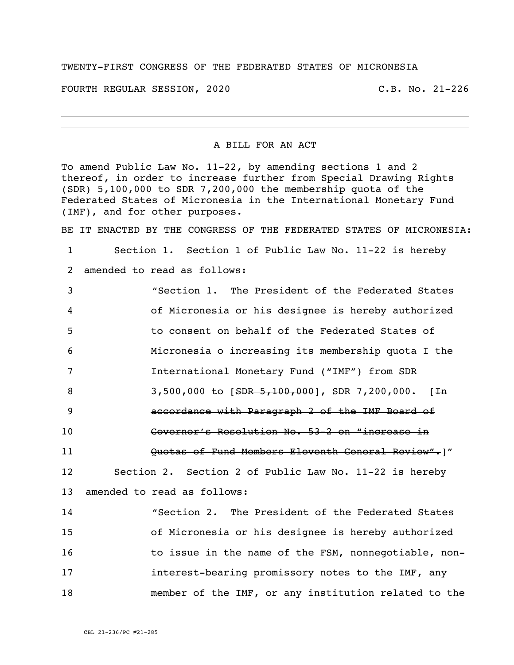## TWENTY-FIRST CONGRESS OF THE FEDERATED STATES OF MICRONESIA

FOURTH REGULAR SESSION, 2020 C.B. No. 21-226

A BILL FOR AN ACT

To amend Public Law No. 11-22, by amending sections 1 and 2 thereof, in order to increase further from Special Drawing Rights (SDR) 5,100,000 to SDR 7,200,000 the membership quota of the Federated States of Micronesia in the International Monetary Fund (IMF), and for other purposes.

BE IT ENACTED BY THE CONGRESS OF THE FEDERATED STATES OF MICRONESIA:

1 Section 1. Section 1 of Public Law No. 11-22 is hereby 2 amended to read as follows:

 "Section 1. The President of the Federated States of Micronesia or his designee is hereby authorized to consent on behalf of the Federated States of Micronesia o increasing its membership quota I the International Monetary Fund ("IMF") from SDR 8 3,500,000 to [SDR 5,100,000], SDR 7,200,000. [<del>In</del> accordance with Paragraph 2 of the IMF Board of Governor's Resolution No. 53-2 on "increase in **Constantial Guilary of Fund Members Eleventh General Review".**]" Section 2. Section 2 of Public Law No. 11-22 is hereby amended to read as follows: "Section 2. The President of the Federated States of Micronesia or his designee is hereby authorized 16 16 to issue in the name of the FSM, nonnegotiable, non-**interest-bearing promissory notes to the IMF, any** 

18 member of the IMF, or any institution related to the